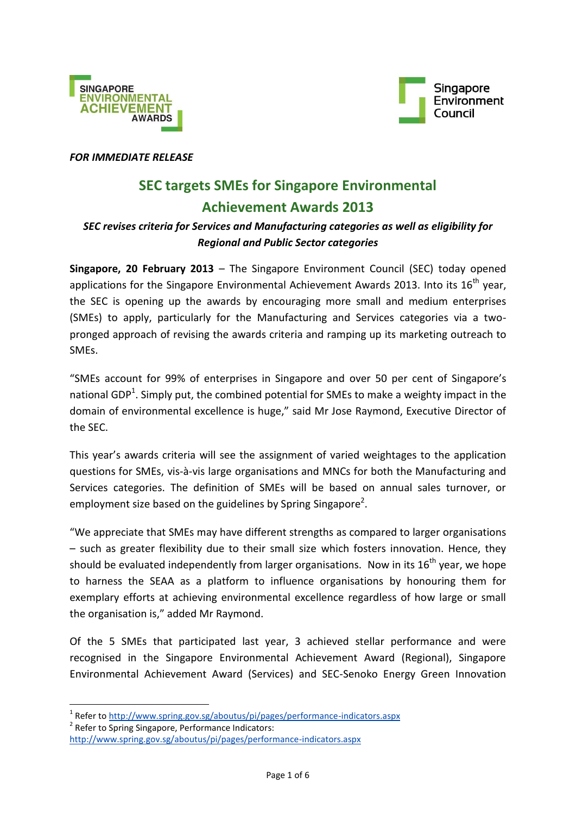



#### *FOR IMMEDIATE RELEASE*

## **SEC targets SMEs for Singapore Environmental Achievement Awards 2013**

### *SEC revises criteria for Services and Manufacturing categories as well as eligibility for Regional and Public Sector categories*

**Singapore, 20 February 2013** – The Singapore Environment Council (SEC) today opened applications for the Singapore Environmental Achievement Awards 2013. Into its  $16<sup>th</sup>$  year, the SEC is opening up the awards by encouraging more small and medium enterprises (SMEs) to apply, particularly for the Manufacturing and Services categories via a twopronged approach of revising the awards criteria and ramping up its marketing outreach to SMEs.

"SMEs account for 99% of enterprises in Singapore and over 50 per cent of Singapore's national GDP<sup>1</sup>. Simply put, the combined potential for SMEs to make a weighty impact in the domain of environmental excellence is huge," said Mr Jose Raymond, Executive Director of the SEC.

This year's awards criteria will see the assignment of varied weightages to the application questions for SMEs, vis-à-vis large organisations and MNCs for both the Manufacturing and Services categories. The definition of SMEs will be based on annual sales turnover, or employment size based on the guidelines by Spring Singapore<sup>2</sup>.

"We appreciate that SMEs may have different strengths as compared to larger organisations – such as greater flexibility due to their small size which fosters innovation. Hence, they should be evaluated independently from larger organisations. Now in its  $16<sup>th</sup>$  year, we hope to harness the SEAA as a platform to influence organisations by honouring them for exemplary efforts at achieving environmental excellence regardless of how large or small the organisation is," added Mr Raymond.

Of the 5 SMEs that participated last year, 3 achieved stellar performance and were recognised in the Singapore Environmental Achievement Award (Regional), Singapore Environmental Achievement Award (Services) and SEC-Senoko Energy Green Innovation

<sup>2</sup> Refer to Spring Singapore, Performance Indicators:

**.** 

<sup>&</sup>lt;sup>1</sup> Refer t[o http://www.spring.gov.sg/aboutus/pi/pages/performance-indicators.aspx](http://www.spring.gov.sg/aboutus/pi/pages/performance-indicators.aspx)

<http://www.spring.gov.sg/aboutus/pi/pages/performance-indicators.aspx>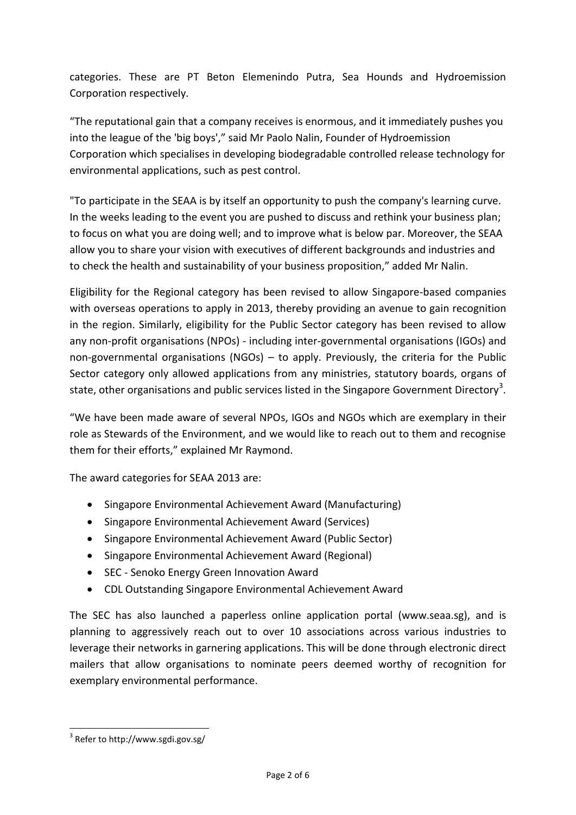categories. These are PT Beton Elemenindo Putra, Sea Hounds and Hydroemission Corporation respectively.

"The reputational gain that a company receives is enormous, and it immediately pushes you into the league of the 'big boys'," said Mr Paolo Nalin, Founder of Hydroemission Corporation which specialises in developing biodegradable controlled release technology for environmental applications, such as pest control.

"To participate in the SEAA is by itself an opportunity to push the company's learning curve. In the weeks leading to the event you are pushed to discuss and rethink your business plan; to focus on what you are doing well; and to improve what is below par. Moreover, the SEAA allow you to share your vision with executives of different backgrounds and industries and to check the health and sustainability of your business proposition," added Mr Nalin.

Eligibility for the Regional category has been revised to allow Singapore-based companies with overseas operations to apply in 2013, thereby providing an avenue to gain recognition in the region. Similarly, eligibility for the Public Sector category has been revised to allow any non-profit organisations (NPOs) - including inter-governmental organisations (IGOs) and non-governmental organisations (NGOs) – to apply. Previously, the criteria for the Public Sector category only allowed applications from any ministries, statutory boards, organs of state, other organisations and public services listed in the Singapore Government Directory<sup>3</sup>.

"We have been made aware of several NPOs, IGOs and NGOs which are exemplary in their role as Stewards of the Environment, and we would like to reach out to them and recognise them for their efforts," explained Mr Raymond.

The award categories for SEAA 2013 are:

- Singapore Environmental Achievement Award (Manufacturing)
- Singapore Environmental Achievement Award (Services)
- Singapore Environmental Achievement Award (Public Sector)
- Singapore Environmental Achievement Award (Regional)
- SEC Senoko Energy Green Innovation Award
- CDL Outstanding Singapore Environmental Achievement Award

The SEC has also launched a paperless online application portal (www.seaa.sg), and is planning to aggressively reach out to over 10 associations across various industries to leverage their networks in garnering applications. This will be done through electronic direct mailers that allow organisations to nominate peers deemed worthy of recognition for exemplary environmental performance.

**<sup>.</sup>** 3 Refer t[o http://www.sgdi.gov.sg/](http://www.sgdi.gov.sg/)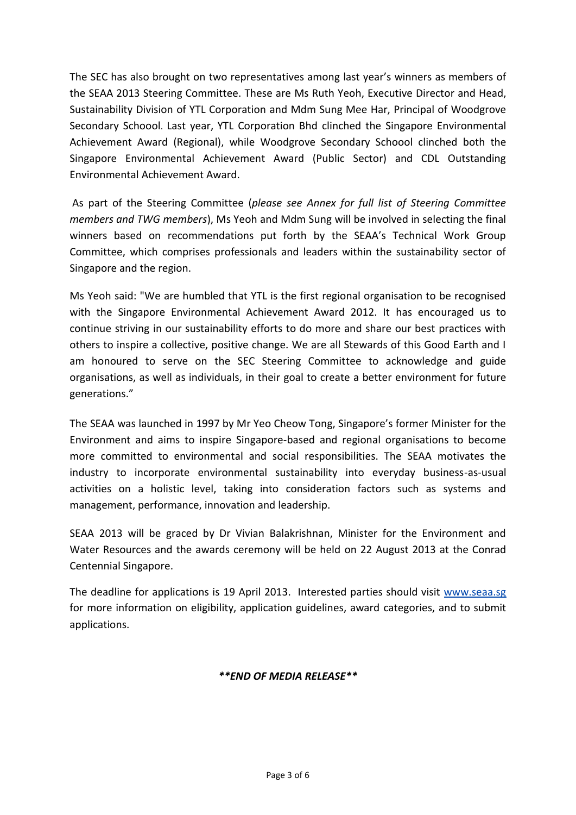The SEC has also brought on two representatives among last year's winners as members of the SEAA 2013 Steering Committee. These are Ms Ruth Yeoh, Executive Director and Head, Sustainability Division of YTL Corporation and Mdm Sung Mee Har, Principal of Woodgrove Secondary Schoool. Last year, YTL Corporation Bhd clinched the Singapore Environmental Achievement Award (Regional), while Woodgrove Secondary Schoool clinched both the Singapore Environmental Achievement Award (Public Sector) and CDL Outstanding Environmental Achievement Award.

As part of the Steering Committee (*please see Annex for full list of Steering Committee members and TWG members*), Ms Yeoh and Mdm Sung will be involved in selecting the final winners based on recommendations put forth by the SEAA's Technical Work Group Committee, which comprises professionals and leaders within the sustainability sector of Singapore and the region.

Ms Yeoh said: "We are humbled that YTL is the first regional organisation to be recognised with the Singapore Environmental Achievement Award 2012. It has encouraged us to continue striving in our sustainability efforts to do more and share our best practices with others to inspire a collective, positive change. We are all Stewards of this Good Earth and I am honoured to serve on the SEC Steering Committee to acknowledge and guide organisations, as well as individuals, in their goal to create a better environment for future generations."

The SEAA was launched in 1997 by Mr Yeo Cheow Tong, Singapore's former Minister for the Environment and aims to inspire Singapore-based and regional organisations to become more committed to environmental and social responsibilities. The SEAA motivates the industry to incorporate environmental sustainability into everyday business-as-usual activities on a holistic level, taking into consideration factors such as systems and management, performance, innovation and leadership.

SEAA 2013 will be graced by Dr Vivian Balakrishnan, Minister for the Environment and Water Resources and the awards ceremony will be held on 22 August 2013 at the Conrad Centennial Singapore.

The deadline for applications is 19 April 2013. Interested parties should visit [www.seaa.sg](http://www.sec.org.sg/seaa) for more information on eligibility, application guidelines, award categories, and to submit applications.

#### *\*\*END OF MEDIA RELEASE\*\**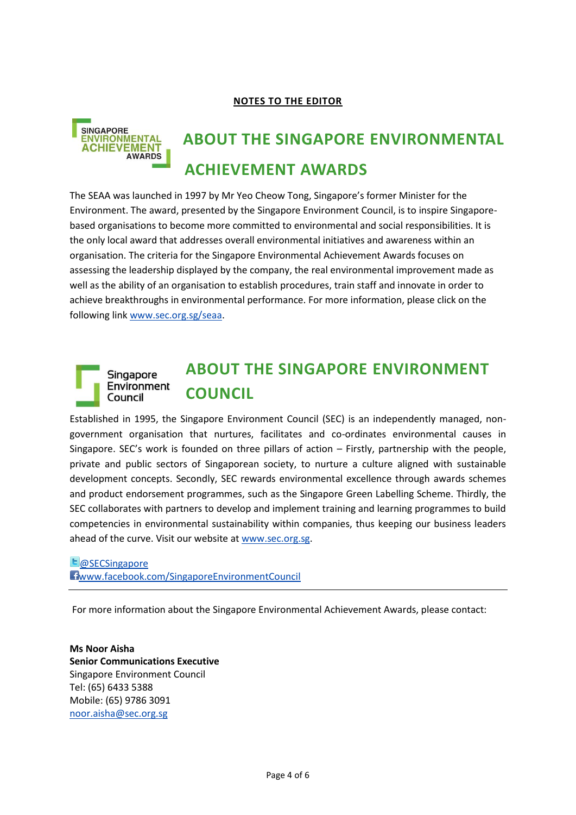#### **NOTES TO THE EDITOR**



# SINGAPORE<br>ENVIRONMENTAL **ABOUT THE SINGAPORE ENVIRONMENTAL ACHIEVEMENT AWARDS**

The SEAA was launched in 1997 by Mr Yeo Cheow Tong, Singapore's former Minister for the Environment. The award, presented by the Singapore Environment Council, is to inspire Singaporebased organisations to become more committed to environmental and social responsibilities. It is the only local award that addresses overall environmental initiatives and awareness within an organisation. The criteria for the Singapore Environmental Achievement Awards focuses on assessing the leadership displayed by the company, the real environmental improvement made as well as the ability of an organisation to establish procedures, train staff and innovate in order to achieve breakthroughs in environmental performance. For more information, please click on the following link [www.sec.org.sg/seaa.](http://www.sec.org.sg/seaa)

#### **ABOUT THE SINGAPORE ENVIRONMENT**  Singapore Environment **COUNCIL** Council

Established in 1995, the Singapore Environment Council (SEC) is an independently managed, nongovernment organisation that nurtures, facilitates and co-ordinates environmental causes in Singapore. SEC's work is founded on three pillars of action – Firstly, partnership with the people, private and public sectors of Singaporean society, to nurture a culture aligned with sustainable development concepts. Secondly, SEC rewards environmental excellence through awards schemes and product endorsement programmes, such as the Singapore Green Labelling Scheme. Thirdly, the SEC collaborates with partners to develop and implement training and learning programmes to build competencies in environmental sustainability within companies, thus keeping our business leaders ahead of the curve. Visit our website at [www.sec.org.sg.](http://www.sec.org.sg/)

#### **L**[@SECSingapore](http://twitter.com/SECSingapore) [www.facebook.com/SingaporeEnvironmentCouncil](http://www.facebook.com/SingaporeEnvironmentCouncil)

For more information about the Singapore Environmental Achievement Awards, please contact:

**Ms Noor Aisha Senior Communications Executive**  Singapore Environment Council Tel: (65) 6433 5388 Mobile: (65) 9786 3091 [noor.aisha@sec.org.sg](mailto:noor.aisha@sec.org.sg)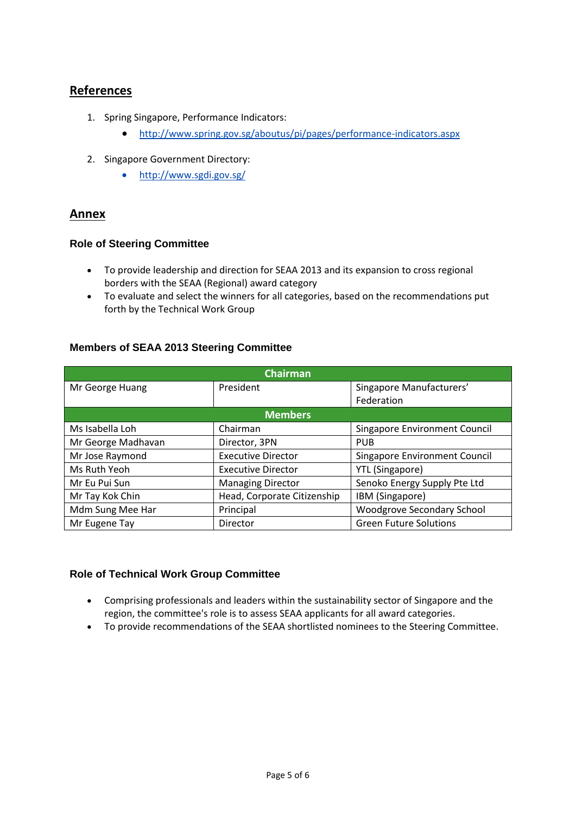#### **References**

- 1. Spring Singapore, Performance Indicators:
	- <http://www.spring.gov.sg/aboutus/pi/pages/performance-indicators.aspx>
- 2. Singapore Government Directory:
	- <http://www.sgdi.gov.sg/>

#### **Annex**

#### **Role of Steering Committee**

- To provide leadership and direction for SEAA 2013 and its expansion to cross regional borders with the SEAA (Regional) award category
- To evaluate and select the winners for all categories, based on the recommendations put forth by the Technical Work Group

| <b>Chairman</b>    |                             |                                      |  |
|--------------------|-----------------------------|--------------------------------------|--|
| Mr George Huang    | President                   | Singapore Manufacturers'             |  |
|                    |                             | Federation                           |  |
| <b>Members</b>     |                             |                                      |  |
| Ms Isabella Loh    | Chairman                    | Singapore Environment Council        |  |
| Mr George Madhavan | Director, 3PN               | <b>PUB</b>                           |  |
| Mr Jose Raymond    | <b>Executive Director</b>   | <b>Singapore Environment Council</b> |  |
| Ms Ruth Yeoh       | <b>Executive Director</b>   | <b>YTL</b> (Singapore)               |  |
| Mr Eu Pui Sun      | <b>Managing Director</b>    | Senoko Energy Supply Pte Ltd         |  |
| Mr Tay Kok Chin    | Head, Corporate Citizenship | IBM (Singapore)                      |  |
| Mdm Sung Mee Har   | Principal                   | Woodgrove Secondary School           |  |
| Mr Eugene Tay      | Director                    | <b>Green Future Solutions</b>        |  |

#### **Members of SEAA 2013 Steering Committee**

#### **Role of Technical Work Group Committee**

- Comprising professionals and leaders within the sustainability sector of Singapore and the region, the committee's role is to assess SEAA applicants for all award categories.
- To provide recommendations of the SEAA shortlisted nominees to the Steering Committee.